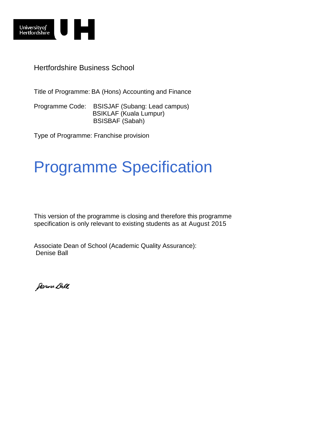

Hertfordshire Business School

Title of Programme: BA (Hons) Accounting and Finance

Programme Code: BSISJAF (Subang: Lead campus) BSIKLAF (Kuala Lumpur) BSISBAF (Sabah)

Type of Programme: Franchise provision

# Programme Specification

This version of the programme is closing and therefore this programme specification is only relevant to existing students as at August 2015

Associate Dean of School (Academic Quality Assurance): Denise Ball

Janne Ball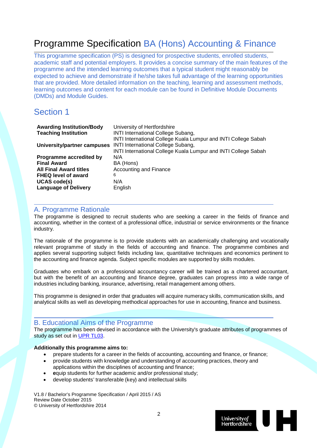# Programme Specification BA (Hons) Accounting & Finance

This programme specification (PS) is designed for prospective students, enrolled students, academic staff and potential employers. It provides a concise summary of the main features of the programme and the intended learning outcomes that a typical student might reasonably be expected to achieve and demonstrate if he/she takes full advantage of the learning opportunities that are provided. More detailed information on the teaching, learning and assessment methods, learning outcomes and content for each module can be found in Definitive Module Documents (DMDs) and Module Guides.

# Section 1

| <b>Awarding Institution/Body</b> | University of Hertfordshire                                                                                                                                                   |
|----------------------------------|-------------------------------------------------------------------------------------------------------------------------------------------------------------------------------|
| <b>Teaching Institution</b>      | <b>INTI International College Subang,</b>                                                                                                                                     |
| University/partner campuses      | INTI International College Kuala Lumpur and INTI College Sabah<br><b>INTI International College Subang,</b><br>INTI International College Kuala Lumpur and INTI College Sabah |
| Programme accredited by          | N/A                                                                                                                                                                           |
| <b>Final Award</b>               | BA (Hons)                                                                                                                                                                     |
| <b>All Final Award titles</b>    | <b>Accounting and Finance</b>                                                                                                                                                 |
| <b>FHEQ level of award</b>       | 6                                                                                                                                                                             |
| <b>UCAS code(s)</b>              | N/A                                                                                                                                                                           |
| <b>Language of Delivery</b>      | English                                                                                                                                                                       |

# A. Programme Rationale

The programme is designed to recruit students who are seeking a career in the fields of finance and accounting, whether in the context of a professional office, industrial or service environments or the finance industry.

The rationale of the programme is to provide students with an academically challenging and vocationally relevant programme of study in the fields of accounting and finance. The programme combines and applies several supporting subject fields including law, quantitative techniques and economics pertinent to the accounting and finance agenda. Subject specific modules are supported by skills modules.

Graduates who embark on a professional accountancy career will be trained as a chartered accountant, but with the benefit of an accounting and finance degree, graduates can progress into a wide range of industries including banking, insurance, advertising, retail management among others.

This programme is designed in order that graduates will acquire numeracy skills, communication skills, and analytical skills as well as developing methodical approaches for use in accounting, finance and business.

# B. Educational Aims of the Programme

The programme has been devised in accordance with the University's graduate attributes of programmes of study as set out in [UPR TL03.](http://sitem.herts.ac.uk/secreg/upr/TL03.htm)

# **Additionally this programme aims to:**

- prepare students for a career in the fields of accounting, accounting and finance, or finance;
- provide students with knowledge and understanding of accounting practices, theory and applications within the disciplines of accounting and finance;
- **e**quip students for further academic and/or professional study;
- develop students' transferable (key) and intellectual skills

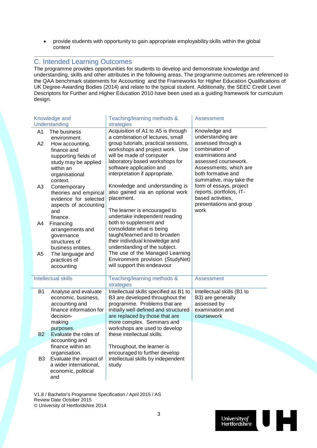• provide students with opportunity to gain appropriate employability skills within the global context

# C. Intended Learning Outcomes

The programme provides opportunities for students to develop and demonstrate knowledge and understanding, skills and other attributes in the following areas. The programme outcomes are referenced to the QAA benchmark statements for Accounting and the Frameworks for Higher Education Qualifications of UK Degree-Awarding Bodies (2014) and relate to the typical student. Additionally, the SEEC Credit Level Descriptors for Further and Higher Education 2010 have been used as a guiding framework for curriculum design.

|                | Knowledge and                                                                                                                | Teaching/learning methods &                                                                                                                                                                                                                         | Assessment                                                                                                                                                  |
|----------------|------------------------------------------------------------------------------------------------------------------------------|-----------------------------------------------------------------------------------------------------------------------------------------------------------------------------------------------------------------------------------------------------|-------------------------------------------------------------------------------------------------------------------------------------------------------------|
|                | Understanding                                                                                                                | strategies                                                                                                                                                                                                                                          |                                                                                                                                                             |
| A1             | The business<br>environment.                                                                                                 | Acquisition of A1 to A5 is through<br>a combination of lectures, small                                                                                                                                                                              | Knowledge and<br>understanding are                                                                                                                          |
| A2             | How accounting,<br>finance and<br>supporting fields of<br>study may be applied<br>within an<br>organisational<br>context.    | group tutorials, practical sessions,<br>workshops and project work. Use<br>will be made of computer<br>laboratory based workshops for<br>software application and<br>interpretation if appropriate.                                                 | assessed through a<br>combination of<br>examinations and<br>assessed coursework.<br>Assessments, which are<br>both formative and<br>summative, may take the |
| A <sub>3</sub> | Contemporary<br>theories and empirical<br>evidence for selected<br>aspects of accounting<br>and<br>finance.                  | Knowledge and understanding is<br>also gained via an optional work<br>placement.<br>The learner is encouraged to<br>undertake independent reading                                                                                                   | form of essays, project<br>reports, portfolios, IT-<br>based activities,<br>presentations and group<br>work                                                 |
| A4             | Financing<br>arrangements and<br>governance<br>structures of<br>business entities.                                           | both to supplement and<br>consolidate what is being<br>taught/learned and to broaden<br>their individual knowledge and<br>understanding of the subject.                                                                                             |                                                                                                                                                             |
| A <sub>5</sub> | The language and<br>practices of<br>accounting                                                                               | The use of the Managed Learning<br>Environment provision (StudyNet)<br>will support this endeavour                                                                                                                                                  |                                                                                                                                                             |
|                | <b>Intellectual skills</b>                                                                                                   | Teaching/learning methods &<br>strategies                                                                                                                                                                                                           | <b>Assessment</b>                                                                                                                                           |
| <b>B1</b>      | Analyse and evaluate<br>economic, business,<br>accounting and<br>finance information for<br>decision-<br>making<br>purposes. | Intellectual skills specified as B1 to<br>B3 are developed throughout the<br>programme. Problems that are<br>initially well defined and structured<br>are replaced by those that are<br>more complex. Seminars and<br>workshops are used to develop | Intellectual skills (B1 to<br>B3) are generally<br>assessed by<br>examination and<br>coursework                                                             |
| <b>B2</b>      | Evaluate the roles of<br>accounting and                                                                                      | these intellectual skills.                                                                                                                                                                                                                          |                                                                                                                                                             |
| B <sub>3</sub> | finance within an<br>organisation.<br>Evaluate the impact of<br>a wider international,<br>economic, political<br>and         | Throughout, the learner is<br>encouraged to further develop<br>intellectual skills by independent<br>study                                                                                                                                          |                                                                                                                                                             |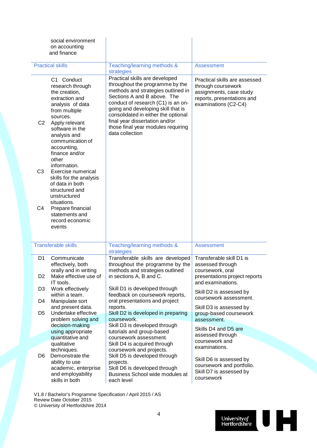|                      | social environment<br>on accounting<br>and finance                                                                                                                                                                                    |                                                                                                                                                                                                                                                                                                                                                      |                                                                                                                                      |
|----------------------|---------------------------------------------------------------------------------------------------------------------------------------------------------------------------------------------------------------------------------------|------------------------------------------------------------------------------------------------------------------------------------------------------------------------------------------------------------------------------------------------------------------------------------------------------------------------------------------------------|--------------------------------------------------------------------------------------------------------------------------------------|
|                      |                                                                                                                                                                                                                                       |                                                                                                                                                                                                                                                                                                                                                      |                                                                                                                                      |
|                      | <b>Practical skills</b>                                                                                                                                                                                                               | Teaching/learning methods &<br>strategies                                                                                                                                                                                                                                                                                                            | <b>Assessment</b>                                                                                                                    |
| C <sub>2</sub>       | C1 Conduct<br>research through<br>the creation,<br>extraction and<br>analysis of data<br>from multiple<br>sources.<br>Apply relevant<br>software in the<br>analysis and<br>communication of<br>accounting,<br>finance and/or<br>other | Practical skills are developed<br>throughout the programme by the<br>methods and strategies outlined in<br>Sections A and B above. The<br>conduct of research (C1) is an on-<br>going and developing skill that is<br>consolidated in either the optional<br>final year dissertation and/or<br>those final year modules requiring<br>data collection | Practical skills are assessed<br>through coursework<br>assignments, case study<br>reports, presentations and<br>examinations (C2-C4) |
| C <sub>3</sub>       | information.<br>Exercise numerical<br>skills for the analysis<br>of data in both<br>structured and<br>unstructured                                                                                                                    |                                                                                                                                                                                                                                                                                                                                                      |                                                                                                                                      |
| C4                   | situations.<br>Prepare financial<br>statements and<br>record economic<br>events                                                                                                                                                       |                                                                                                                                                                                                                                                                                                                                                      |                                                                                                                                      |
|                      | <b>Transferable skills</b>                                                                                                                                                                                                            | Teaching/learning methods &<br>strategies                                                                                                                                                                                                                                                                                                            | <b>Assessment</b>                                                                                                                    |
| D <sub>1</sub><br>D2 | Communicate<br>effectively, both<br>orally and in writing<br>Make effective use of<br>IT tools.                                                                                                                                       | Transferable skills are developed<br>throughout the programme by the<br>methods and strategies outlined<br>in sections A, B and C.                                                                                                                                                                                                                   | Transferable skill D1 is<br>assessed through<br>coursework, oral<br>presentations project reports<br>and examinations.               |
| D <sub>3</sub>       | Work effectively<br>within a team.                                                                                                                                                                                                    | Skill D1 is developed through<br>feedback on coursework reports,<br>oral presentations and project                                                                                                                                                                                                                                                   | Skill D2 is assessed by<br>coursework assessment.                                                                                    |
| D4<br>D <sub>5</sub> | Manipulate sort<br>and present data.<br>Undertake effective<br>problem solving and                                                                                                                                                    | reports.<br>Skill D2 is developed in preparing<br>coursework.                                                                                                                                                                                                                                                                                        | Skill D3 is assessed by<br>group-based coursework<br>assessment.                                                                     |
|                      | decision-making<br>using appropriate                                                                                                                                                                                                  | Skill D3 is developed through<br>tutorials and group-based                                                                                                                                                                                                                                                                                           | Skills D4 and D5 are                                                                                                                 |
|                      | quantitative and<br>qualitative                                                                                                                                                                                                       | coursework assessment.<br>Skill D4 is acquired through                                                                                                                                                                                                                                                                                               | assessed through<br>coursework and                                                                                                   |
| D <sub>6</sub>       | techniques.<br>Demonstrate the<br>ability to use<br>academic, enterprise<br>and employability<br>skills in both                                                                                                                       | coursework and projects.<br>Skill D5 is developed through<br>projects.<br>Skill D6 is developed through<br>Business School wide modules at<br>each level                                                                                                                                                                                             | examinations.<br>Skill D6 is assessed by<br>coursework and portfolio.<br>Skill D7 is assessed by<br>coursework                       |

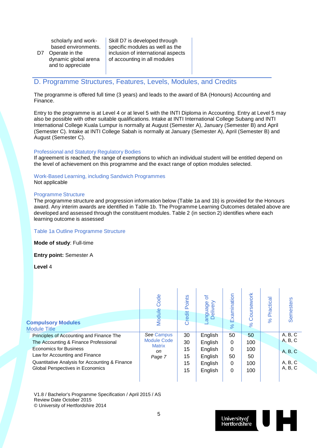scholarly and workbased environments.

D7 Operate in the dynamic global arena and to appreciate

Skill D7 is developed through specific modules as well as the inclusion of international aspects of accounting in all modules

# D. Programme Structures, Features, Levels, Modules, and Credits

The programme is offered full time (3 years) and leads to the award of BA (Honours) Accounting and Finance.

Entry to the programme is at Level 4 or at level 5 with the INTI Diploma in Accounting. Entry at Level 5 may also be possible with other suitable qualifications. Intake at INTI International College Subang and INTI International College Kuala Lumpur is normally at August (Semester A), January (Semester B) and April (Semester C). Intake at INTI College Sabah is normally at January (Semester A), April (Semester B) and August (Semester C).

#### Professional and Statutory Regulatory Bodies

If agreement is reached, the range of exemptions to which an individual student will be entitled depend on the level of achievement on this programme and the exact range of option modules selected.

## Work-Based Learning, including Sandwich Programmes

Not applicable

#### Programme Structure

The programme structure and progression information below (Table 1a and 1b) is provided for the Honours award. Any interim awards are identified in Table 1b. The Programme Learning Outcomes detailed above are developed and assessed through the constituent modules. Table 2 (in section 2) identifies where each learning outcome is assessed

#### Table 1a Outline Programme Structure

**Mode of study**: Full-time

**Entry point:** Semester A

**Level** 4

| <b>Compulsory Modules</b><br><b>Module Title</b>                                                                                                                                                                                           | Code<br>Module                                                    | Points<br>Credit                 | 'ठ<br>anguage<br>$\epsilon$<br>Delive                          | Examination<br>$\aleph$                                     | Coursework<br>$\aleph$               | Practica<br>$\aleph$ | <b>Semesters</b>                                    |
|--------------------------------------------------------------------------------------------------------------------------------------------------------------------------------------------------------------------------------------------|-------------------------------------------------------------------|----------------------------------|----------------------------------------------------------------|-------------------------------------------------------------|--------------------------------------|----------------------|-----------------------------------------------------|
| Principles of Accounting and Finance The<br>The Accounting & Finance Professional<br><b>Economics for Business</b><br>Law for Accounting and Finance<br>Quantitative Analysis for Accounting & Finance<br>Global Perspectives in Economics | See Campus<br><b>Module Code</b><br><b>Matrix</b><br>on<br>Page 7 | 30<br>30<br>15<br>15<br>15<br>15 | English<br>English<br>English<br>English<br>English<br>English | 50<br>$\Omega$<br>$\Omega$<br>50<br>$\Omega$<br>$\mathbf 0$ | 50<br>100<br>100<br>50<br>100<br>100 |                      | A, B, C<br>A, B, C<br>A, B, C<br>A, B, C<br>A, B, C |

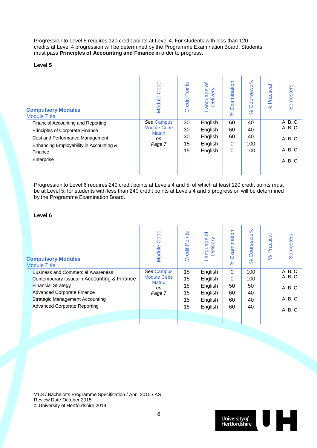Progression to Level 5 requires 120 credit points at Level 4. For students with less than 120 credits at Level 4 progression will be determined by the Programme Examination Board. Students must pass **Principles of Accounting and Finance** in order to progress.

## **Level 5**

| <b>Compulsory Modules</b><br><b>Module Title</b> | Code<br>Module                      | Points<br>Credit | ৳<br>anguage<br>Delivery | Examination<br>$\aleph$ | Coursework<br>8 <sup>o</sup> | Practica<br>8 <sup>o</sup> | <b>Semesters</b> |
|--------------------------------------------------|-------------------------------------|------------------|--------------------------|-------------------------|------------------------------|----------------------------|------------------|
| Financial Accounting and Reporting               | See Campus                          | 30               | English                  | 60                      | 40                           |                            | A, B, C          |
| Principles of Corporate Finance                  | <b>Module Code</b><br><b>Matrix</b> | 30               | English                  | 60                      | 40                           |                            | A, B, C          |
| Cost and Performance Management                  | on                                  | 30               | English                  | 60                      | 40                           |                            | A, B, C          |
| Enhancing Employability in Accounting &          | Page 7                              | 15               | English                  | 0                       | 100                          |                            |                  |
| Finance                                          |                                     | 15               | English                  | 0                       | 100                          |                            | A, B, C          |
| Enterprise                                       |                                     |                  |                          |                         |                              |                            | A, B, C          |
|                                                  |                                     |                  |                          |                         |                              |                            |                  |

Progression to Level 6 requires 240 credit points at Levels 4 and 5, of which at least 120 credit points must be at Level 5; for students with less than 240 credit points at Levels 4 and 5 progression will be determined by the Programme Examination Board.

# **Level 6**

| <b>Compulsory Modules</b><br><b>Module Title</b> | <b>Module Code</b>                  | Points<br>Credit | ৳<br>anguage<br>Delivery | Examination<br>$\aleph$ | oursework<br>Ō<br>8 <sup>o</sup> | Practica<br>$\%$ | Semesters |
|--------------------------------------------------|-------------------------------------|------------------|--------------------------|-------------------------|----------------------------------|------------------|-----------|
| <b>Business and Commercial Awareness</b>         | See Campus                          | 15               | English                  | $\Omega$                | 100                              |                  | A, B, C   |
| Contemporary Issues in Accounting & Finance      | <b>Module Code</b><br><b>Matrix</b> | 15               | English                  | $\Omega$                | 100                              |                  | A, B, C   |
| <b>Financial Strategy</b>                        | on                                  | 15               | English                  | 50                      | 50                               |                  | A, B, C   |
| <b>Advanced Corporate Finance</b>                | Page 7                              | 15               | English                  | 60                      | 40                               |                  |           |
| <b>Strategic Management Accounting</b>           |                                     | 15               | English                  | 60                      | 40                               |                  | A, B, C   |
| <b>Advanced Corporate Reporting</b>              |                                     | 15               | English                  | 60                      | 40                               |                  | A, B, C   |
|                                                  |                                     |                  |                          |                         |                                  |                  |           |
|                                                  |                                     |                  |                          |                         |                                  |                  |           |

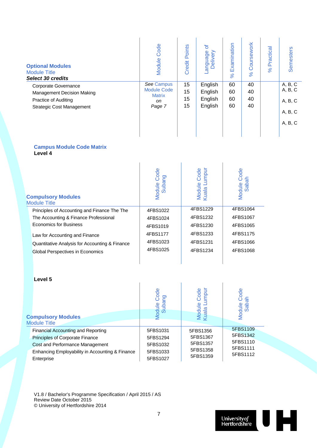| <b>Optional Modules</b><br><b>Module Title</b><br><b>Select 30 credits</b>                                            | Code<br>Module                                                    | Points<br>Credit     | ৳<br>anguage<br>Delivery                 | Examination<br>$\aleph$ | Coursework<br>8 <sup>o</sup> | Practical<br>8 <sup>o</sup> | <b>Semesters</b>                                    |
|-----------------------------------------------------------------------------------------------------------------------|-------------------------------------------------------------------|----------------------|------------------------------------------|-------------------------|------------------------------|-----------------------------|-----------------------------------------------------|
| Corporate Governance<br>Management Decision Making<br><b>Practice of Auditing</b><br><b>Strategic Cost Management</b> | See Campus<br><b>Module Code</b><br><b>Matrix</b><br>on<br>Page 7 | 15<br>15<br>15<br>15 | English<br>English<br>English<br>English | 60<br>60<br>60<br>60    | 40<br>40<br>40<br>40         |                             | A, B, C<br>A, B, C<br>A, B, C<br>A, B, C<br>A, B, C |

## **Campus Module Code Matrix Level 4**

| <b>Compulsory Modules</b><br><b>Module Title</b> | Code<br>Subang<br>Module | impur<br>Code<br>Module<br>Kuala Lu | Code<br>Sabah<br>Module |
|--------------------------------------------------|--------------------------|-------------------------------------|-------------------------|
| Principles of Accounting and Finance The The     | 4FBS1022                 | 4FBS1229                            | 4FBS1064                |
| The Accounting & Finance Professional            | 4FBS1024                 | 4FBS1232                            | 4FBS1067                |
| <b>Economics for Business</b>                    | 4FBS1019                 | 4FBS1230                            | 4FBS1065                |
| Law for Accounting and Finance                   | 4FBS1177                 | 4FBS1233                            | 4FBS1175                |
| Quantitative Analysis for Accounting & Finance   | 4FBS1023                 | 4FBS1231                            | 4FBS1066                |
| <b>Global Perspectives in Economics</b>          | 4FBS1025                 | 4FBS1234                            | 4FBS1068                |

| Level 5                                                                                                                                                                          |                                                          |                                                          |                                                          |
|----------------------------------------------------------------------------------------------------------------------------------------------------------------------------------|----------------------------------------------------------|----------------------------------------------------------|----------------------------------------------------------|
| <b>Compulsory Modules</b><br><b>Module Title</b>                                                                                                                                 | Code<br>g<br>Module<br>Subai                             | umpur<br>Code<br>Module<br>Kuala Lı                      | Module Code<br>Sabah                                     |
| <b>Financial Accounting and Reporting</b><br>Principles of Corporate Finance<br>Cost and Performance Management<br>Enhancing Employability in Accounting & Finance<br>Enterprise | 5FBS1031<br>5FBS1294<br>5FBS1032<br>5FBS1033<br>5FBS1027 | 5FBS1356<br>5FBS1367<br>5FBS1357<br>5FBS1358<br>5FBS1359 | 5FBS1109<br>5FBS1342<br>5FBS1110<br>5FBS1111<br>5FBS1112 |

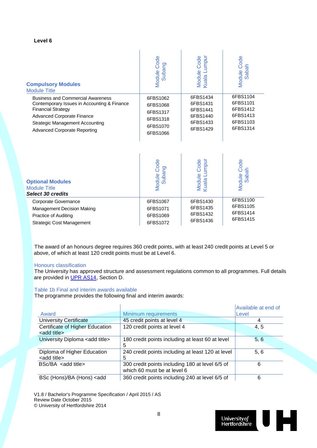#### **Level 6**

| <b>Compulsory Modules</b><br><b>Module Title</b>                           | Module Code<br>Subang | Module Code<br>Kuala Lumpur | Module Code<br>Sabah        |
|----------------------------------------------------------------------------|-----------------------|-----------------------------|-----------------------------|
| <b>Business and Commercial Awareness</b>                                   | 6FBS1062              | 6FBS1434                    | 6FBS1104                    |
| Contemporary Issues in Accounting & Finance                                | 6FBS1068              | 6FBS1431                    | 6FBS1101                    |
| <b>Financial Strategy</b>                                                  | 6FBS1317              | 6FBS1441                    | 6FBS1412                    |
| <b>Advanced Corporate Finance</b>                                          | 6FBS1318              | 6FBS1440                    | 6FBS1413                    |
| <b>Strategic Management Accounting</b>                                     | 6FBS1070              | 6FBS1433                    | 6FBS1103                    |
| <b>Advanced Corporate Reporting</b>                                        | 6FBS1066              | 6FBS1429                    | 6FBS1314                    |
| <b>Optional Modules</b><br><b>Module Title</b><br><b>Select 30 credits</b> | Module Code<br>Subang | Module Code<br>Kuala Lumpur | Module Code<br><b>Sabah</b> |
| Corporate Governance                                                       | 6FBS1067              | 6FBS1430                    | 6FBS1100                    |
| Management Decision Making                                                 | 6FBS1071              | 6FBS1435                    | 6FBS1105                    |
| Practice of Auditing                                                       | 6FBS1069              | 6FBS1432                    | 6FBS1414                    |
| <b>Strategic Cost Management</b>                                           | 6FBS1072              | 6FBS1436                    | 6FBS1415                    |

The award of an honours degree requires 360 credit points, with at least 240 credit points at Level 5 or above, of which at least 120 credit points must be at Level 6.

#### Honours classification

The University has approved structure and assessment regulations common to all programmes. Full details are provided in [UPR AS14,](http://sitem.herts.ac.uk/secreg/upr/pdf/AS14-Structure%20and%20Assessment%20Regs%20-%20Undergrad%20and%20Taught%20Postgrad%20Programmes-v04%200.pdf) Section D.

# Table 1b Final and interim awards available

The programme provides the following final and interim awards:

|                                                                                                            |                                                   | Available at end of |
|------------------------------------------------------------------------------------------------------------|---------------------------------------------------|---------------------|
| Award                                                                                                      | Minimum requirements                              | Level               |
| <b>University Certificate</b>                                                                              | 45 credit points at level 4                       |                     |
| Certificate of Higher Education                                                                            | 120 credit points at level 4                      | 4, 5                |
| <add title=""></add>                                                                                       |                                                   |                     |
| University Diploma <add title=""></add>                                                                    | 180 credit points including at least 60 at level  | 5, 6                |
|                                                                                                            | 5                                                 |                     |
| Diploma of Higher Education                                                                                | 240 credit points including at least 120 at level | 5, 6                |
| <add title=""></add>                                                                                       | 5                                                 |                     |
| BSc/BA <add title=""></add>                                                                                | 300 credit points including 180 at level 6/5 of   | 6                   |
|                                                                                                            | which 60 must be at level 6                       |                     |
| BSc (Hons)/BA (Hons) <add< td=""><td>360 credit points including 240 at level 6/5 of</td><td>6</td></add<> | 360 credit points including 240 at level 6/5 of   | 6                   |

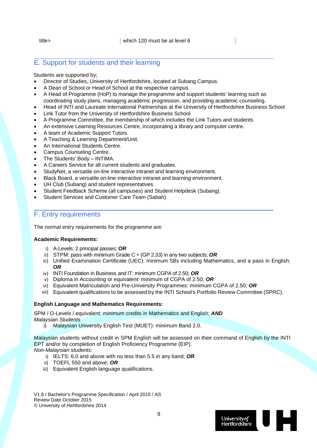# E. Support for students and their learning

#### Students are supported by;

- Director of Studies, University of Hertfordshire, located at Subang Campus.
- A Dean of School or Head of School at the respective campus.
- A Head of Programme (HoP) to manage the programme and support students' learning such as coordinating study plans, managing academic progression, and providing academic counseling.
- Head of INTI and Laureate International Partnerships at the University of Hertfordshire Business School
- Link Tutor from the University of Hertfordshire Business School
- A Programme Committee, the membership of which includes the Link Tutors and students
- An extensive Learning Resources Centre, incorporating a library and computer centre.
- A team of Academic Support Tutors.
- A Teaching & Learning Department/Unit.
- An International Students Centre.
- Campus Counseling Centre.
- The Students' Body INTIMA.
- A Careers Service for all current students and graduates.
- StudyNet, a versatile on-line interactive intranet and learning environment.
- Black Board, a versatile on-line interactive intranet and learning environment.
- UH Club (Subang) and student representatives.
- Student Feedback Scheme (all campuses) and Student Helpdesk (Subang).
- Student Services and Customer Care Team (Sabah).

# F. Entry requirements

The normal entry requirements for the programme are:

#### **Academic Requirements:**

- i) A-Levels: 2 principal passes; *OR*
- ii) STPM: pass with minimum Grade C + (GP 2.33) in any two subjects; *OR*
- iii) Unified Examination Certificate (UEC): minimum 5Bs including Mathematics, and a pass in English; *OR*
- iv) INTI Foundation in Business and IT: minimum CGPA of 2.50; *OR*
- v) Diploma in Accounting or equivalent: minimum of CGPA of 2.50; *OR*
- vi) Equivalent Matriculation and Pre-University Programmes: minimum CGPA of 2.50; *OR*
- vii) Equivalent qualifications to be assessed by the INTI School's Portfolio Review Committee (SPRC).

#### **English Language and Mathematics Requirements:**

SPM / O-Levels / equivalent: minimum credits in Mathematics and English; *AND Malaysian Students*

i) Malaysian University English Test (MUET): minimum Band 2.0.

Malaysian students without credit in SPM English will be assessed on their command of English by the INTI EPT and/or by completion of English Proficiency Programme (EIP). *Non-Malaysian students:*

- i) IELTS: 6.0 and above with no less than 5.5 in any band; *OR*
- ii) TOEFL 550 and above; *OR*
- iii) Equivalent English language qualifications.

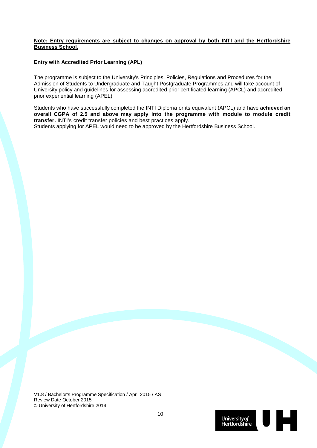#### **Note: Entry requirements are subject to changes on approval by both INTI and the Hertfordshire Business School.**

# **Entry with Accredited Prior Learning (APL)**

The programme is subject to the University's Principles, Policies, Regulations and Procedures for the Admission of Students to Undergraduate and Taught Postgraduate Programmes and will take account of University policy and guidelines for assessing accredited prior certificated learning (APCL) and accredited prior experiential learning (APEL)

Students who have successfully completed the INTI Diploma or its equivalent (APCL) and have **achieved an overall CGPA of 2.5 and above may apply into the programme with module to module credit transfer.** INTI's credit transfer policies and best practices apply.

Students applying for APEL would need to be approved by the Hertfordshire Business School.

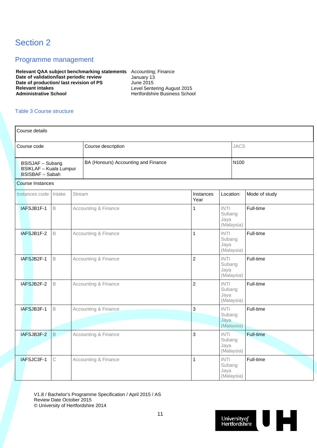# Section 2

# Programme management

**Relevant QAA subject benchmarking statements** Accounting; Finance **Date of validation/last periodic review** January 13 **Date of production/ last revision of PS** June 2015<br>Relevant intakes Level 5enter **Relevant intakes**<br> **Administrative School**<br> **Administrative School**<br> **Administrative School**<br> **Administrative School** 

**Administrative School** Hertfordshire Business School

# Table 3 Course structure

| Course details                                                                                                     |             |        |                                 |                   |                                                   |             |               |  |           |
|--------------------------------------------------------------------------------------------------------------------|-------------|--------|---------------------------------|-------------------|---------------------------------------------------|-------------|---------------|--|-----------|
| Course code                                                                                                        |             |        | Course description              |                   |                                                   | <b>JACS</b> |               |  |           |
| BA (Honours) Accounting and Finance<br>BSISJAF - Subang<br><b>BSIKLAF - Kuala Lumpur</b><br><b>BSISBAF</b> - Sabah |             |        |                                 |                   | N100                                              |             |               |  |           |
| <b>Course Instances</b>                                                                                            |             |        |                                 |                   |                                                   |             |               |  |           |
| Instances code                                                                                                     | Intake      | Stream |                                 | Instances<br>Year | Location:                                         |             | Mode of study |  |           |
| IAFSJB1F-1                                                                                                         | $\mathsf B$ |        | Accounting & Finance            | $\mathbf{1}$      | <b>INTI</b><br>Subang<br>Jaya<br>(Malaysia)       |             | Full-time     |  |           |
| IAFSJB1F-2                                                                                                         | $\mathsf B$ |        | Accounting & Finance            | $\mathbf{1}$      | <b>INTI</b><br>Subang<br>Jaya<br>(Malaysia)       |             | Full-time     |  |           |
| IAFSJB2F-1                                                                                                         | B           |        | <b>Accounting &amp; Finance</b> | $\overline{c}$    | <b>INTI</b><br>Subang<br>Jaya<br>(Malaysia)       |             | Full-time     |  |           |
| IAFSJB2F-2                                                                                                         | B           |        | Accounting & Finance            | $\overline{2}$    | <b>INTI</b><br>Subang<br>Jaya                     |             | (Malaysia)    |  | Full-time |
| IAFSJB3F-1                                                                                                         | $\mathsf B$ |        | Accounting & Finance            | 3                 | <b>INTI</b><br>Subang<br>Jaya<br>(Malaysia)       |             | Full-time     |  |           |
| IAFSJB3F-2                                                                                                         | $\mathsf B$ |        | Accounting & Finance            | 3                 | $\textsf{INTI}{}$<br>Subang<br>Jaya<br>(Malaysia) |             | Full-time     |  |           |
| IAFSJC3F-1                                                                                                         | C           |        | <b>Accounting &amp; Finance</b> | 1                 | <b>INTI</b><br>Subang<br>Jaya<br>(Malaysia)       |             | Full-time     |  |           |

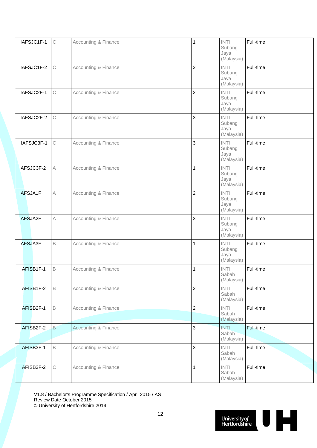| IAFSJC1F-1 | $\mathop{\rm C}\nolimits$ | <b>Accounting &amp; Finance</b> | 1              | <b>INTI</b><br>Subang<br>Jaya<br>(Malaysia)       | Full-time        |
|------------|---------------------------|---------------------------------|----------------|---------------------------------------------------|------------------|
| IAFSJC1F-2 | C                         | Accounting & Finance            | $\overline{2}$ | <b>INTI</b><br>Subang<br>Jaya<br>(Malaysia)       | Full-time        |
| IAFSJC2F-1 | $\mathsf C$               | <b>Accounting &amp; Finance</b> | $\overline{2}$ | <b>INTI</b><br>Subang<br>Jaya<br>(Malaysia)       | Full-time        |
| IAFSJC2F-2 | $\mathsf C$               | <b>Accounting &amp; Finance</b> | 3              | <b>INTI</b><br>Subang<br>Jaya<br>(Malaysia)       | Full-time        |
| IAFSJC3F-1 | $\mathsf C$               | Accounting & Finance            | 3              | <b>INTI</b><br>Subang<br>Jaya<br>(Malaysia)       | Full-time        |
| IAFSJC3F-2 | A                         | Accounting & Finance            | $\mathbf{1}$   | <b>INTI</b><br>Subang<br>Jaya<br>(Malaysia)       | Full-time        |
| IAFSJA1F   | A                         | Accounting & Finance            | $\overline{2}$ | <b>INTI</b><br>Subang<br>Jaya<br>(Malaysia)       | Full-time        |
| IAFSJA2F   | $\forall$                 | <b>Accounting &amp; Finance</b> | 3              | <b>INTI</b><br>Subang<br>Jaya<br>(Malaysia)       | Full-time        |
| IAFSJA3F   | $\mathsf B$               | <b>Accounting &amp; Finance</b> | $\mathbf{1}$   | $\textsf{INTI}{}$<br>Subang<br>Jaya<br>(Malaysia) | Full-time        |
| AFISB1F-1  | B                         | <b>Accounting &amp; Finance</b> | $\mathbf{1}$   | <b>INTI</b><br>Sabah<br>(Malaysia)                | Full-time        |
| AFISB1F-2  | $\mathsf B$               | Accounting & Finance            | $\overline{2}$ | <b>INTI</b><br>Sabah<br>(Malaysia)                | Full-time        |
| AFISB2F-1  | $\mathsf B$               | Accounting & Finance            | $\overline{2}$ | INTI<br>Sabah<br>(Malaysia)                       | Full-time        |
| AFISB2F-2  | B                         | <b>Accounting &amp; Finance</b> | 3              | <b>INTI</b><br>Sabah<br>(Malaysia)                | <b>Full-time</b> |
| AFISB3F-1  | $\mathsf B$               | <b>Accounting &amp; Finance</b> | 3              | <b>INTI</b><br>Sabah<br>(Malaysia)                | Full-time        |
| AFISB3F-2  | $\mathop{\rm C}\nolimits$ | Accounting & Finance            | 1              | $\textsf{INTI}{}$<br>Sabah<br>(Malaysia)          | Full-time        |

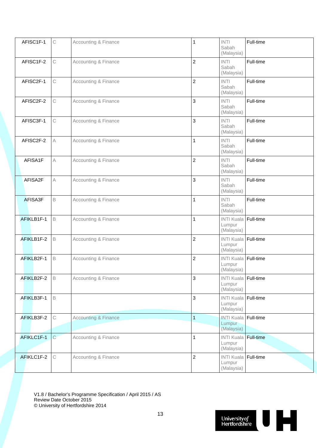| AFISC1F-1  | $\mathbb C$               | Accounting & Finance            | 1              | <b>INTI</b><br>Sabah<br>(Malaysia)                  | Full-time |
|------------|---------------------------|---------------------------------|----------------|-----------------------------------------------------|-----------|
| AFISC1F-2  | $\mathbb C$               | <b>Accounting &amp; Finance</b> | $\overline{2}$ | <b>INTI</b><br>Sabah<br>(Malaysia)                  | Full-time |
| AFISC2F-1  | $\mathsf C$               | <b>Accounting &amp; Finance</b> | $\overline{2}$ | <b>INTI</b><br>Sabah<br>(Malaysia)                  | Full-time |
| AFISC2F-2  | $\mathbb C$               | Accounting & Finance            | 3              | <b>INTI</b><br>Sabah<br>(Malaysia)                  | Full-time |
| AFISC3F-1  | $\mathbb C$               | <b>Accounting &amp; Finance</b> | 3              | <b>INTI</b><br>Sabah<br>(Malaysia)                  | Full-time |
| AFISC2F-2  | Α                         | Accounting & Finance            | 1              | <b>INTI</b><br>Sabah<br>(Malaysia)                  | Full-time |
| AFISA1F    | $\mathsf A$               | <b>Accounting &amp; Finance</b> | $\overline{c}$ | <b>INTI</b><br>Sabah<br>(Malaysia)                  | Full-time |
| AFISA2F    | $\mathsf A$               | <b>Accounting &amp; Finance</b> | 3              | <b>INTI</b><br>Sabah<br>(Malaysia)                  | Full-time |
| AFISA3F    | $\mathsf B$               | Accounting & Finance            | 1              | <b>INTI</b><br>Sabah<br>(Malaysia)                  | Full-time |
| AFIKLB1F-1 | $\mathsf B$               | Accounting & Finance            | 1              | <b>INTI Kuala Full-time</b><br>Lumpur<br>(Malaysia) |           |
| AFIKLB1F-2 | $\mathsf B$               | Accounting & Finance            | $\overline{c}$ | INTI Kuala Full-time<br>Lumpur<br>(Malaysia)        |           |
| AFIKLB2F-1 | $\mathsf B$               | <b>Accounting &amp; Finance</b> | $\overline{c}$ | INTI Kuala Full-time<br>Lumpur<br>(Malaysia)        |           |
| AFIKLB2F-2 | B                         | <b>Accounting &amp; Finance</b> | 3              | INTI Kuala Full-time<br>Lumpur<br>(Malaysia)        |           |
| AFIKLB3F-1 | $\mathsf B$               |                                 | 3              | INTI Kuala Full-time<br>Lumpur<br>(Malaysia)        |           |
| AFIKLB3F-2 | $\mathbb C$               | <b>Accounting &amp; Finance</b> | $\mathbf{1}$   | <b>INTI Kuala Full-time</b><br>Lumpur<br>(Malaysia) |           |
| AFIKLC1F-1 | $\mathsf{C}$              | Accounting & Finance            | 1              | INTI Kuala Full-time<br>Lumpur<br>(Malaysia)        |           |
| AFIKLC1F-2 | $\mathop{\rm C}\nolimits$ | Accounting & Finance            | $\overline{c}$ | INTI Kuala Full-time<br>Lumpur<br>(Malaysia)        |           |

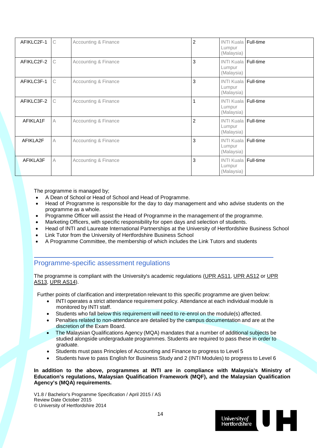| AFIKLC2F-1 | C           | Accounting & Finance | $\overline{c}$ | <b>INTI Kuala Full-time</b><br>Lumpur<br>(Malaysia)   |  |
|------------|-------------|----------------------|----------------|-------------------------------------------------------|--|
| AFIKLC2F-2 | C           | Accounting & Finance | 3              | <b>INTI Kuala   Full-time</b><br>Lumpur<br>(Malaysia) |  |
| AFIKLC3F-1 | $\mathbb C$ | Accounting & Finance | 3              | <b>INTI Kuala Full-time</b><br>Lumpur<br>(Malaysia)   |  |
| AFIKLC3F-2 | C           | Accounting & Finance |                | <b>INTI Kuala Full-time</b><br>Lumpur<br>(Malaysia)   |  |
| AFIKLA1F   | A           | Accounting & Finance | $\overline{c}$ | <b>INTI Kuala Full-time</b><br>Lumpur<br>(Malaysia)   |  |
| AFIKLA2F   | A           | Accounting & Finance | 3              | <b>INTI Kuala   Full-time</b><br>Lumpur<br>(Malaysia) |  |
| AFIKLA3F   | A           | Accounting & Finance | 3              | <b>INTI Kuala Full-time</b><br>Lumpur<br>(Malaysia)   |  |

The programme is managed by:

- A Dean of School or Head of School and Head of Programme.
- Head of Programme is responsible for the day to day management and who advise students on the programme as a whole.
- Programme Officer will assist the Head of Programme in the management of the programme.
- Marketing Officers, with specific responsibility for open days and selection of students.
- Head of INTI and Laureate International Partnerships at the University of Hertfordshire Business School
- Link Tutor from the University of Hertfordshire Business School
- A Programme Committee, the membership of which includes the Link Tutors and students

# Programme-specific assessment regulations

The programme is compliant with the University's academic regulations [\(UPR AS11,](http://sitem.herts.ac.uk/secreg/upr/AS11.htm) [UPR AS12](http://sitem.herts.ac.uk/secreg/upr/AS12.htm) or [UPR](http://sitem.herts.ac.uk/secreg/upr/AS13.htm)  [AS13,](http://sitem.herts.ac.uk/secreg/upr/AS13.htm) [UPR AS14\)](http://sitem.herts.ac.uk/secreg/upr/AS14.htm).

Further points of clarification and interpretation relevant to this specific programme are given below:

- INTI operates a strict attendance requirement policy. Attendance at each individual module is monitored by INTI staff.
- Students who fall below this requirement will need to re-enrol on the module(s) affected.
- Penalties related to non-attendance are detailed by the campus documentation and are at the discretion of the Exam Board.
- The Malaysian Qualifications Agency (MQA) mandates that a number of additional subjects be studied alongside undergraduate programmes. Students are required to pass these in order to graduate.
- Students must pass Principles of Accounting and Finance to progress to Level 5
- Students have to pass English for Business Study and 2 (INTI Modules) to progress to Level 6

**In addition to the above, programmes at INTI are in compliance with Malaysia's Ministry of Education's regulations, Malaysian Qualification Framework (MQF), and the Malaysian Qualification Agency's (MQA) requirements.** 

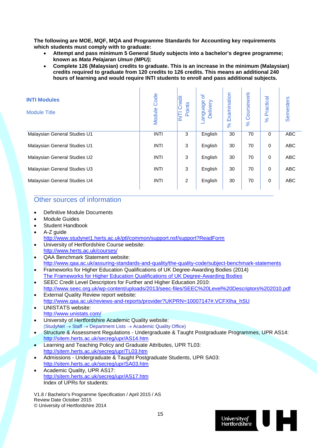**The following are MOE, MQF, MQA and Programme Standards for Accounting key requirements which students must comply with to graduate:**

- **Attempt and pass minimum 5 General Study subjects into a bachelor's degree programme; known as** *Mata Pelajaran Umun (MPU);*
- **Complete 126 (Malaysian) credits to graduate. This is an increase in the minimum (Malaysian) credits required to graduate from 120 credits to 126 credits. This means an additional 240 hours of learning and would require INTI students to enroll and pass additional subjects.**

| <b>INTI Modules</b><br><b>Module Title</b> | Code<br>Module | Credit<br>Points<br>E | ð<br>Delivery<br>approus- | Examination<br>8 <sup>o</sup> | Coursework<br>$\aleph$ | Practical<br>$\aleph$ | <b>Semesters</b> |
|--------------------------------------------|----------------|-----------------------|---------------------------|-------------------------------|------------------------|-----------------------|------------------|
| Malaysian General Studies U1               | <b>INTI</b>    | 3                     | English                   | 30                            | 70                     | $\mathbf 0$           | ABC              |
| Malaysian General Studies U1               | <b>INTI</b>    | 3                     | English                   | 30                            | 70                     | $\mathbf 0$           | <b>ABC</b>       |
| Malaysian General Studies U2               | <b>INTI</b>    | 3                     | English                   | 30                            | 70                     | $\mathbf 0$           | <b>ABC</b>       |
| Malaysian General Studies U3               | <b>INTI</b>    | 3                     | English                   | 30                            | 70                     | $\mathbf 0$           | ABC              |
| Malaysian General Studies U4               | <b>INTI</b>    | 2                     | English                   | 30                            | 70                     | $\mathbf 0$           | <b>ABC</b>       |

# Other sources of information

- Definitive Module Documents
- Module Guides
- Student Handbook
- A-Z quide
	- <http://www.studynet1.herts.ac.uk/ptl/common/support.nsf/support?ReadForm>
- University of Hertfordshire Course website: <http://www.herts.ac.uk/courses/>
- QAA Benchmark Statement website: <http://www.qaa.ac.uk/assuring-standards-and-quality/the-quality-code/subject-benchmark-statements>
- Frameworks for Higher Education Qualifications of UK Degree-Awarding Bodies (2014) [The Frameworks for Higher Education Qualifications of UK Degree-Awarding Bodies](http://www.qaa.ac.uk/publications/information-and-guidance/publication?PubID=2843#.VT8b6ZNH50F)
- SEEC Credit Level Descriptors for Further and Higher Education 2010: <http://www.seec.org.uk/wp-content/uploads/2013/seec-files/SEEC%20Level%20Descriptors%202010.pdf>
- **External Quality Review report website:** [http://www.qaa.ac.uk/reviews-and-reports/provider?UKPRN=10007147#.VCFXlha\\_hSU](http://www.qaa.ac.uk/reviews-and-reports/provider?UKPRN=10007147#.VCFXlha_hSU)
- UNISTATS website: <http://www.unistats.com/>
- University of Hertfordshire Academic Quality website: (StudyNet → Staff → Department Lists → Academic Quality Office)
- Structure & Assessment Regulations Undergraduate & Taught Postgraduate Programmes, UPR AS14: <http://sitem.herts.ac.uk/secreg/upr/AS14.htm>
- Learning and Teaching Policy and Graduate Attributes, UPR TL03: <http://sitem.herts.ac.uk/secreg/upr/TL03.htm>
- Admissions Undergraduate & Taught Postgraduate Students, UPR SA03: <http://sitem.herts.ac.uk/secreg/upr/SA03.htm>
- Academic Quality, UPR AS17: <http://sitem.herts.ac.uk/secreg/upr/AS17.htm> Index of UPRs for students:

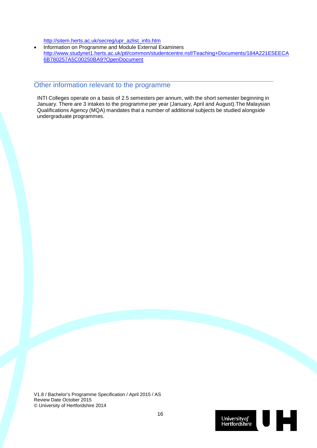[http://sitem.herts.ac.uk/secreg/upr\\_azlist\\_info.htm](http://sitem.herts.ac.uk/secreg/upr_azlist_info.htm)

• Information on Programme and Module External Examiners [http://www.studynet1.herts.ac.uk/ptl/common/studentcentre.nsf/Teaching+Documents/184A221E5EECA](http://www.studynet1.herts.ac.uk/ptl/common/studentcentre.nsf/Teaching+Documents/184A221E5EECA6B780257A5C00250BA9?OpenDocument) [6B780257A5C00250BA9?OpenDocument](http://www.studynet1.herts.ac.uk/ptl/common/studentcentre.nsf/Teaching+Documents/184A221E5EECA6B780257A5C00250BA9?OpenDocument)

# Other information relevant to the programme

INTI Colleges operate on a basis of 2.5 semesters per annum, with the short semester beginning in January. There are 3 intakes to the programme per year (January, April and August).The Malaysian Qualifications Agency (MQA) mandates that a number of additional subjects be studied alongside undergraduate programmes.

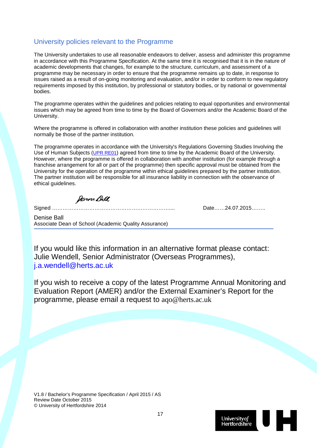# University policies relevant to the Programme

The University undertakes to use all reasonable endeavors to deliver, assess and administer this programme in accordance with this Programme Specification. At the same time it is recognised that it is in the nature of academic developments that changes, for example to the structure, curriculum, and assessment of a programme may be necessary in order to ensure that the programme remains up to date, in response to issues raised as a result of on-going monitoring and evaluation, and/or in order to conform to new regulatory requirements imposed by this institution, by professional or statutory bodies, or by national or governmental bodies.

The programme operates within the guidelines and policies relating to equal opportunities and environmental issues which may be agreed from time to time by the Board of Governors and/or the Academic Board of the University.

Where the programme is offered in collaboration with another institution these policies and guidelines will normally be those of the partner institution.

The programme operates in accordance with the University's Regulations Governing Studies Involving the Use of Human Subjects [\(UPR RE01\)](http://sitem.herts.ac.uk/secreg/upr/RE01.htm) agreed from time to time by the Academic Board of the University. However, where the programme is offered in collaboration with another institution (for example through a franchise arrangement for all or part of the programme) then specific approval must be obtained from the University for the operation of the programme within ethical guidelines prepared by the partner institution. The partner institution will be responsible for all insurance liability in connection with the observance of ethical guidelines.

fenne Bell

Signed ………………………………………………………….... Date……24.07.2015……..

Denise Ball Associate Dean of School (Academic Quality Assurance)

If you would like this information in an alternative format please contact: Julie Wendell, Senior Administrator (Overseas Programmes), [j.a.wendell@herts.ac.uk](mailto:j.a.wendell@herts.ac.uk)

If you wish to receive a copy of the latest Programme Annual Monitoring and Evaluation Report (AMER) and/or the External Examiner's Report for the programme, please email a request to aqo@herts.ac.uk

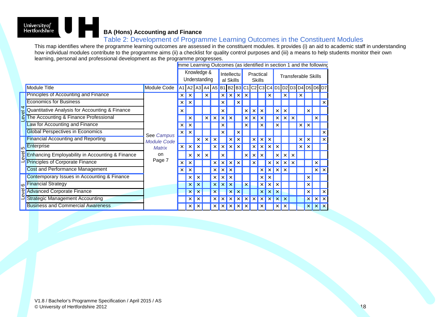# J H University*of*<br>Hertfordshire **BA (Hons) Accounting and Finance**

# Table 2: Development of Programme Learning Outcomes in the Constituent Modules

This map identifies where the programme learning outcomes are assessed in the constituent modules. It provides (i) an aid to academic staff in understanding how individual modules contribute to the programme aims (ii) a checklist for quality control purposes and (iii) a means to help students monitor their own learning, personal and professional development as the programme progresses.

|              |                                                 | mme Learning Outcomes (as identified in section 1 and the following |             |          |                                                           |          |   |                   |           |   |               |  |   |                     |   |   |  |  |          |                      |              |  |  |
|--------------|-------------------------------------------------|---------------------------------------------------------------------|-------------|----------|-----------------------------------------------------------|----------|---|-------------------|-----------|---|---------------|--|---|---------------------|---|---|--|--|----------|----------------------|--------------|--|--|
|              |                                                 |                                                                     | Knowledge & |          |                                                           |          |   | <b>Intellectu</b> |           |   | Practical     |  |   | Transferable Skills |   |   |  |  |          |                      |              |  |  |
|              |                                                 |                                                                     |             |          | Understanding                                             |          |   |                   | al Skills |   | <b>Skills</b> |  |   |                     |   |   |  |  |          |                      |              |  |  |
|              | <b>Module Title</b>                             | Module Code                                                         |             |          | A1   A2   A3   A4   A5   B1   B2   B3   C1   C2   C3   C4 |          |   |                   |           |   |               |  |   |                     |   |   |  |  |          | D1 D2 D3 D4 D5 D6 D7 |              |  |  |
|              | <b>Principles of Accounting and Finance</b>     |                                                                     | ×           |          |                                                           |          |   |                   |           |   |               |  |   |                     |   |   |  |  |          |                      |              |  |  |
|              | <b>Economics for Business</b>                   |                                                                     | $\times$    | ×        |                                                           |          |   |                   |           |   |               |  |   |                     |   |   |  |  |          |                      |              |  |  |
| $e$ vel 4    | Quantitative Analysis for Accounting & Finance  |                                                                     | ×           |          |                                                           |          |   |                   |           |   |               |  |   |                     | × |   |  |  | ×        |                      |              |  |  |
|              | The Accounting & Finance Professional           |                                                                     |             | $\times$ |                                                           | $\times$ | × |                   |           |   | ×             |  |   |                     |   | × |  |  |          | ×                    |              |  |  |
|              | Law for Accounting and Finance                  |                                                                     | ×           | ×        |                                                           |          |   |                   |           |   |               |  | x |                     |   |   |  |  |          |                      |              |  |  |
|              | <b>Global Perspectives in Economics</b>         | See Campus                                                          | $\times$    |          |                                                           |          |   |                   |           |   |               |  |   |                     |   |   |  |  |          |                      |              |  |  |
|              | <b>Financial Accounting and Reporting</b>       | <b>Module Code</b>                                                  |             |          |                                                           |          |   |                   |           |   |               |  |   |                     |   |   |  |  |          |                      |              |  |  |
| <b>آیا</b>   | Enterprise                                      | <b>Matrix</b>                                                       | $\times$    | ×        |                                                           |          |   |                   |           |   |               |  |   |                     |   |   |  |  |          |                      |              |  |  |
| <b>level</b> | Enhancing Employability in Accounting & Finance | on                                                                  |             | $\times$ | $\times$                                                  |          |   |                   |           |   |               |  |   |                     |   |   |  |  |          |                      |              |  |  |
|              | <b>Principles of Corporate Finance</b>          | Page 7                                                              | $\times$    |          |                                                           |          |   |                   |           |   |               |  |   |                     |   |   |  |  |          | ×                    |              |  |  |
|              | Cost and Performance Management                 |                                                                     | ×           | ×        |                                                           |          |   |                   |           |   |               |  |   |                     |   |   |  |  |          | ×                    | $\times$     |  |  |
|              | Contemporary Issues in Accounting & Finance     |                                                                     |             | $\times$ | ×                                                         |          | × |                   |           |   |               |  |   |                     |   |   |  |  |          |                      |              |  |  |
| <b>l</b> co  | <b>Financial Strategy</b>                       |                                                                     |             | $\times$ |                                                           |          | × |                   |           |   |               |  | x |                     |   |   |  |  |          |                      |              |  |  |
| evel         | <b>Advanced Corporate Finance</b>               |                                                                     |             | $\times$ | $\boldsymbol{\mathsf{x}}$                                 |          | ᄎ |                   |           |   |               |  | x |                     |   |   |  |  |          |                      |              |  |  |
|              | <b>Strategic Management Accounting</b>          |                                                                     |             |          |                                                           |          |   |                   |           |   |               |  |   |                     |   |   |  |  |          |                      |              |  |  |
|              | <b>Business and Commercial Awareness</b>        |                                                                     |             | $\times$ | x                                                         |          | × | $\times$          | X         | × | ∣ X           |  | × |                     | x | × |  |  | $\times$ | $\times$             | $\mathsf{X}$ |  |  |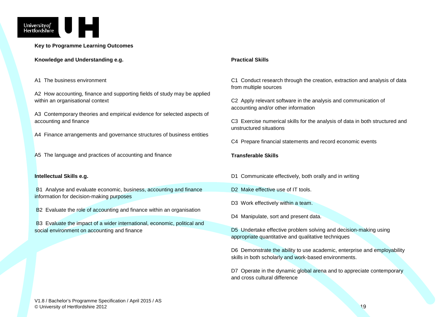

**Key to Programme Learning Outcomes**

**Knowledge and Understanding e.g.**

#### A1 The business environment

A2 How accounting, finance and supporting fields of study may be applied within an organisational context

A3 Contemporary theories and empirical evidence for selected aspects of accounting and finance

A4 Finance arrangements and governance structures of business entities

A5 The language and practices of accounting and finance

#### **Intellectual Skills e.g.**

B1 Analyse and evaluate economic, business, accounting and finance information for decision-making purposes

B2 Evaluate the role of accounting and finance within an organisation

B3 Evaluate the impact of a wider international, economic, political and social environment on accounting and finance

#### **Practical Skills**

C1 Conduct research through the creation, extraction and analysis of data from multiple sources

C2 Apply relevant software in the analysis and communication of accounting and/or other information

C3 Exercise numerical skills for the analysis of data in both structured and unstructured situations

C4 Prepare financial statements and record economic events

#### **Transferable Skills**

D1 Communicate effectively, both orally and in writing

- D<sub>2</sub> Make effective use of IT tools.
- D3 Work effectively within a team.
- D4 Manipulate, sort and present data.

D5 Undertake effective problem solving and decision-making using appropriate quantitative and qualitative techniques

D6 Demonstrate the ability to use academic, enterprise and employability skills in both scholarly and work-based environments.

D7 Operate in the dynamic global arena and to appreciate contemporary and cross cultural difference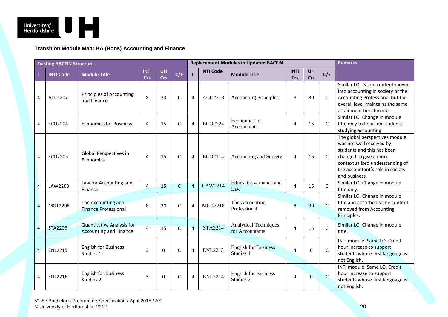

**Transition Module Map: BA (Hons) Accounting and Finance**

|                | <b>Existing BACFIN Structure</b> |                                                                   |                           |                         |                |                |                  | <b>Replacement Modules in Updated BACFIN</b>    | <b>Remarks</b>     |                  |              |                                                                                                                                                                                                            |
|----------------|----------------------------------|-------------------------------------------------------------------|---------------------------|-------------------------|----------------|----------------|------------------|-------------------------------------------------|--------------------|------------------|--------------|------------------------------------------------------------------------------------------------------------------------------------------------------------------------------------------------------------|
|                | <b>INTI Code</b>                 | <b>Module Title</b>                                               | <b>INTI</b><br><b>Crs</b> | <b>UH</b><br><b>Crs</b> | C/E            | $\mathbf{L}$   | <b>INTI Code</b> | <b>Module Title</b>                             | <b>INTI</b><br>Crs | <b>UH</b><br>Crs | C/E          |                                                                                                                                                                                                            |
| 4              | ACC2207                          | Principles of Accounting<br>and Finance                           | 8                         | 30                      | C              | 4              | <b>ACC2218</b>   | <b>Accounting Principles</b>                    | 8                  | 30               | C            | Similar LO. Some content moved<br>into accounting in society or the<br>Accounting Professional but the<br>overall level maintains the same<br>attainment benchmarks.                                       |
| 4              | ECO2204                          | <b>Economics for Business</b>                                     | 4                         | 15                      | $\mathsf{C}$   | 4              | ECO2224          | Economics for<br>Accountants                    | 4                  | 15               | C            | Similar LO. Change in module<br>title only to focus on students<br>studying accounting.                                                                                                                    |
| 4              | ECO2205                          | Global Perspectives in<br>Economics                               | $\overline{4}$            | 15                      | $\mathsf{C}$   | 4              | ECO2114          | Accounting and Society                          | 4                  | 15               | C            | The global perspectives module<br>was not well received by<br>students and this has been<br>changed to give a more<br>contextualised understanding of<br>the accountant's role in society<br>and business. |
| $\overline{4}$ | LAW2203                          | Law for Accounting and<br>Finance                                 | $\overline{4}$            | 15                      | $\mathsf{C}$   | $\overline{4}$ | LAW2214          | Ethics, Governance and<br>Law                   | 4                  | 15               | C            | Similar LO. Change in module<br>title only.                                                                                                                                                                |
| $\overline{a}$ | MGT2208                          | The Accounting and<br><b>Finance Professional</b>                 | 8                         | 30                      | C              | $\overline{4}$ | <b>MGT2218</b>   | The Accounting<br>Professional                  | 8                  | 30               | $\mathsf{C}$ | Similar LO. Change in module<br>title and absorbed some content<br>removed from Accounting<br>Principles.                                                                                                  |
| $\overline{4}$ | <b>STA2206</b>                   | <b>Quantitative Analysis for</b><br><b>Accounting and Finance</b> | $\overline{4}$            | 15                      | $\overline{C}$ | $\overline{a}$ | STA2214          | <b>Analytical Techniques</b><br>for Accountants | $\overline{4}$     | 15               | $\mathsf{C}$ | Similar LO. Change in module<br>title.                                                                                                                                                                     |
| $\overline{4}$ | <b>ENL2215</b>                   | <b>English for Business</b><br>Studies 1                          | $\overline{3}$            | $\Omega$                | $\mathsf{C}$   | 4              | <b>ENL2213</b>   | <b>English for Business</b><br>Studies 1        | $\overline{4}$     | $\Omega$         | $\mathsf{C}$ | INTI module. Same LO. Credit<br>hour increase to support<br>students whose first language is<br>not English.                                                                                               |
| 4              | <b>ENL2216</b>                   | <b>English for Business</b><br>Studies 2                          | 3                         | $\Omega$                | C              | 4              | <b>ENL2214</b>   | <b>English for Business</b><br>Studies 2        | 4                  | $\overline{0}$   | $\mathsf{C}$ | INTI module. Same LO. Credit<br>hour increase to support<br>students whose first language is<br>not English.                                                                                               |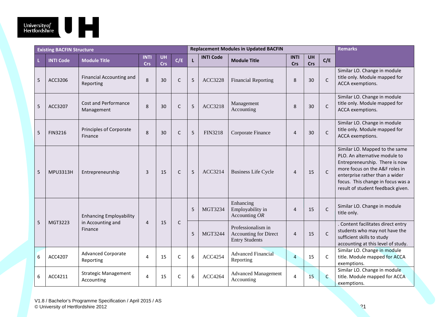

|                 | <b>Existing BACFIN Structure</b> |                                           |                           |                         |              | <b>Replacement Modules in Updated BACFIN</b> | <b>Remarks</b>   |                                                                             |                    |                  |              |                                                                                                                                                                                                                                                 |
|-----------------|----------------------------------|-------------------------------------------|---------------------------|-------------------------|--------------|----------------------------------------------|------------------|-----------------------------------------------------------------------------|--------------------|------------------|--------------|-------------------------------------------------------------------------------------------------------------------------------------------------------------------------------------------------------------------------------------------------|
| L               | <b>INTI Code</b>                 | <b>Module Title</b>                       | <b>INTI</b><br><b>Crs</b> | <b>UH</b><br><b>Crs</b> | C/E          | $\mathbf{L}$                                 | <b>INTI Code</b> | <b>Module Title</b>                                                         | <b>INTI</b><br>Crs | <b>UH</b><br>Crs | C/E          |                                                                                                                                                                                                                                                 |
| 5               | ACC3206                          | Financial Accounting and<br>Reporting     | 8                         | 30                      | $\mathsf{C}$ | 5                                            | <b>ACC3228</b>   | <b>Financial Reporting</b>                                                  | 8                  | 30               | $\mathsf{C}$ | Similar LO. Change in module<br>title only. Module mapped for<br>ACCA exemptions.                                                                                                                                                               |
| 5               | ACC3207                          | Cost and Performance<br>Management        | 8                         | 30                      | $\mathsf{C}$ | 5                                            | ACC3218          | Management<br>Accounting                                                    | 8                  | 30               | $\mathsf{C}$ | Similar LO. Change in module<br>title only. Module mapped for<br>ACCA exemptions.                                                                                                                                                               |
| 5               | <b>FIN3216</b>                   | Principles of Corporate<br>Finance        | 8                         | 30                      | $\mathsf{C}$ | 5                                            | <b>FIN3218</b>   | Corporate Finance                                                           | $\overline{4}$     | 30               | $\mathsf{C}$ | Similar LO. Change in module<br>title only. Module mapped for<br>ACCA exemptions.                                                                                                                                                               |
| 5               | <b>MPU3313H</b>                  | Entrepreneurship                          | 3                         | 15                      | $\mathsf{C}$ | 5                                            | ACC3214          | <b>Business Life Cycle</b>                                                  | $\overline{4}$     | 15               | $\mathsf{C}$ | Similar LO. Mapped to the same<br>PLO. An alternative module to<br>Entrepreneurship. There is now<br>more focus on the A&F roles in<br>enterprise rather than a wider<br>focus. This change in focus was a<br>result of student feedback given. |
|                 |                                  | <b>Enhancing Employability</b>            |                           |                         |              | 5                                            | MGT3234          | Enhancing<br>Employability in<br>Accounting $OR$                            | $\overline{4}$     | 15               | $\mathsf{C}$ | Similar LO. Change in module<br>title only.                                                                                                                                                                                                     |
| 5               | MGT3223                          | in Accounting and<br>Finance              | $\overline{4}$            | 15                      | $\mathsf{C}$ | 5                                            | MGT3244          | Professionalism in<br><b>Accounting for Direct</b><br><b>Entry Students</b> | $\overline{4}$     | 15               | $\mathsf{C}$ | . Content facilitates direct entry<br>students who may not have the<br>sufficient skills to study<br>accounting at this level of study.                                                                                                         |
| $6\phantom{1}6$ | ACC4207                          | <b>Advanced Corporate</b><br>Reporting    | 4                         | 15                      | $\mathsf{C}$ | 6                                            | <b>ACC4254</b>   | <b>Advanced Financial</b><br>Reporting                                      | $\overline{4}$     | 15               | C            | Similar LO. Change in module<br>title. Module mapped for ACCA<br>exemptions.                                                                                                                                                                    |
| 6               | ACC4211                          | <b>Strategic Management</b><br>Accounting | 4                         | 15                      | C            | 6                                            | <b>ACC4264</b>   | <b>Advanced Management</b><br>Accounting                                    | $\overline{a}$     | 15               | $\mathsf{C}$ | Similar LO. Change in module<br>title. Module mapped for ACCA<br>exemptions.                                                                                                                                                                    |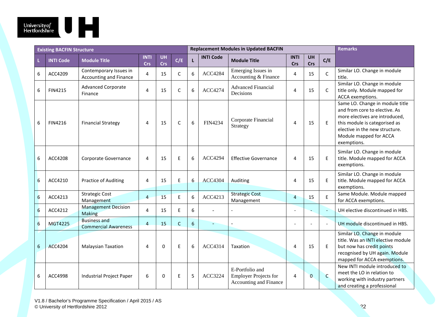

|   | <b>Existing BACFIN Structure</b> |                                                    |                           |                         |              | <b>Replacement Modules in Updated BACFIN</b> | <b>Remarks</b>   |                                                                           |                    |                  |                          |                                                                                                                                                                                                                |
|---|----------------------------------|----------------------------------------------------|---------------------------|-------------------------|--------------|----------------------------------------------|------------------|---------------------------------------------------------------------------|--------------------|------------------|--------------------------|----------------------------------------------------------------------------------------------------------------------------------------------------------------------------------------------------------------|
|   | <b>INTI Code</b>                 | <b>Module Title</b>                                | <b>INTI</b><br><b>Crs</b> | <b>UH</b><br><b>Crs</b> | C/E          | $\mathsf L$                                  | <b>INTI Code</b> | <b>Module Title</b>                                                       | <b>INTI</b><br>Crs | <b>UH</b><br>Crs | C/E                      |                                                                                                                                                                                                                |
| 6 | ACC4209                          | Contemporary Issues in<br>Accounting and Finance   | $\overline{4}$            | 15                      | C            | 6                                            | <b>ACC4284</b>   | Emerging Issues in<br>Accounting & Finance                                | $\overline{4}$     | 15               | $\mathsf C$              | Similar LO. Change in module<br>title.                                                                                                                                                                         |
| 6 | <b>FIN4215</b>                   | <b>Advanced Corporate</b><br>Finance               | $\overline{\mathbf{4}}$   | 15                      | C            | 6                                            | ACC4274          | <b>Advanced Financial</b><br>Decisions                                    | $\overline{4}$     | 15               | C                        | Similar LO. Change in module<br>title only. Module mapped for<br>ACCA exemptions.                                                                                                                              |
| 6 | FIN4216                          | <b>Financial Strategy</b>                          | 4                         | 15                      | $\mathsf{C}$ | 6                                            | <b>FIN4234</b>   | Corporate Financial<br>Strategy                                           | 4                  | 15               | E                        | Same LO. Change in module title<br>and from core to elective. As<br>more electives are introduced,<br>this module is categorised as<br>elective in the new structure.<br>Module mapped for ACCA<br>exemptions. |
| 6 | ACC4208                          | Corporate Governance                               | 4                         | 15                      | E            | 6                                            | <b>ACC4294</b>   | <b>Effective Governance</b>                                               | 4                  | 15               | E                        | Similar LO. Change in module<br>title. Module mapped for ACCA<br>exemptions.                                                                                                                                   |
| 6 | ACC4210                          | <b>Practice of Auditing</b>                        | 4                         | 15                      | Ε            | 6                                            | <b>ACC4304</b>   | Auditing                                                                  | 4                  | 15               | E                        | Similar LO. Change in module<br>title. Module mapped for ACCA<br>exemptions.                                                                                                                                   |
| 6 | ACC4213                          | <b>Strategic Cost</b><br>Management                | $\overline{4}$            | 15                      | E            | 6                                            | ACC4213          | <b>Strategic Cost</b><br>Management                                       | 4                  | 15               | E                        | Same Module. Module mapped<br>for ACCA exemptions.                                                                                                                                                             |
| 6 | ACC4212                          | <b>Management Decision</b><br><b>Making</b>        | $\overline{4}$            | 15                      | E            | 6                                            |                  |                                                                           |                    |                  |                          | UH elective discontinued in HBS.                                                                                                                                                                               |
| 6 | MGT4225                          | <b>Business and</b><br><b>Commercial Awareness</b> | $\overline{4}$            | 15                      | $\mathsf{C}$ | $6\phantom{a}$                               |                  |                                                                           |                    |                  | $\overline{\phantom{a}}$ | UH module discontinued in HBS.                                                                                                                                                                                 |
| 6 | <b>ACC4204</b>                   | <b>Malaysian Taxation</b>                          | $\overline{4}$            | $\Omega$                | E            | 6                                            | ACC4314          | Taxation                                                                  | 4                  | 15               | E                        | Similar LO. Change in module<br>title. Was an INTI elective module<br>but now has credit points<br>recognised by UH again. Module<br>mapped for ACCA exemptions.                                               |
| 6 | ACC4998                          | Industrial Project Paper                           | 6                         | $\Omega$                | E            | 5                                            | ACC3224          | E-Portfolio and<br><b>Employer Projects for</b><br>Accounting and Finance | 4                  | $\overline{0}$   | $\mathsf{C}$             | New INTI module introduced to<br>meet the LO in relation to<br>working with industry partners<br>and creating a professional                                                                                   |